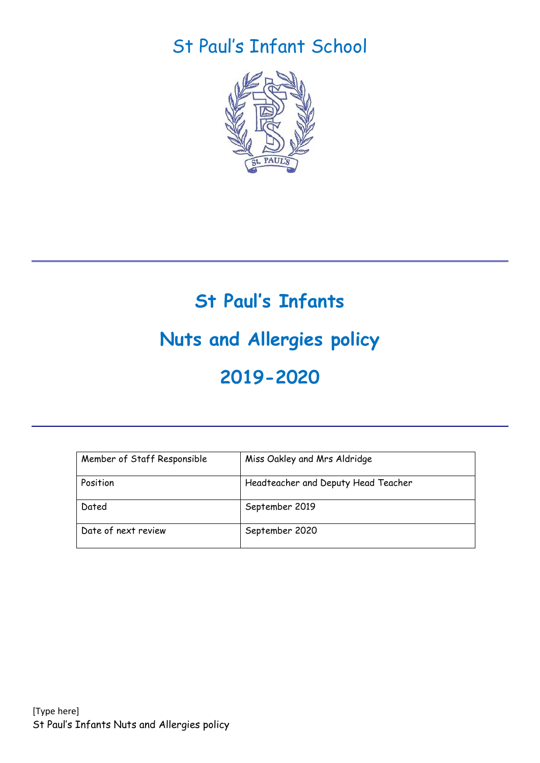## St Paul's Infant School



# **St Paul's Infants Nuts and Allergies policy 2019-2020**

| Member of Staff Responsible | Miss Oakley and Mrs Aldridge        |
|-----------------------------|-------------------------------------|
| Position                    | Headteacher and Deputy Head Teacher |
| Dated                       | September 2019                      |
| Date of next review         | September 2020                      |